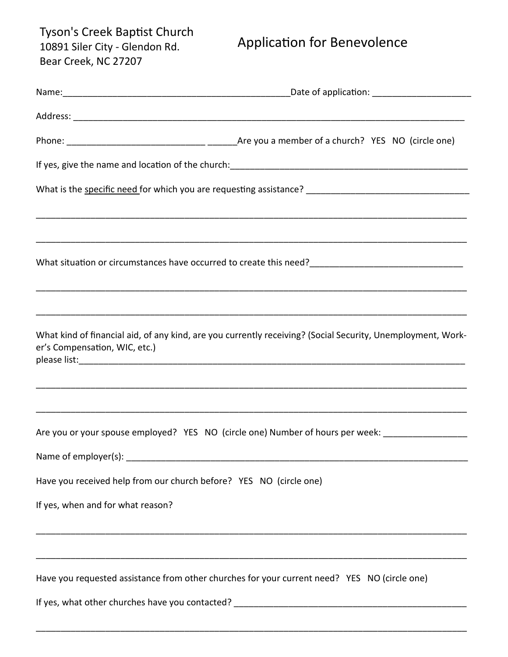Tyson's Creek Baptist Church 10891 Siler City - Glendon Rd. Bear Creek, NC 27207

## Application for Benevolence

| er's Compensation, WIC, etc.)                                      | What kind of financial aid, of any kind, are you currently receiving? (Social Security, Unemployment, Work- |
|--------------------------------------------------------------------|-------------------------------------------------------------------------------------------------------------|
|                                                                    |                                                                                                             |
|                                                                    | Are you or your spouse employed? YES NO (circle one) Number of hours per week: ____________________         |
|                                                                    |                                                                                                             |
| Have you received help from our church before? YES NO (circle one) |                                                                                                             |
| If yes, when and for what reason?                                  |                                                                                                             |
|                                                                    |                                                                                                             |
|                                                                    | Have you requested assistance from other churches for your current need? YES NO (circle one)                |
|                                                                    |                                                                                                             |

\_\_\_\_\_\_\_\_\_\_\_\_\_\_\_\_\_\_\_\_\_\_\_\_\_\_\_\_\_\_\_\_\_\_\_\_\_\_\_\_\_\_\_\_\_\_\_\_\_\_\_\_\_\_\_\_\_\_\_\_\_\_\_\_\_\_\_\_\_\_\_\_\_\_\_\_\_\_\_\_\_\_\_\_\_\_\_